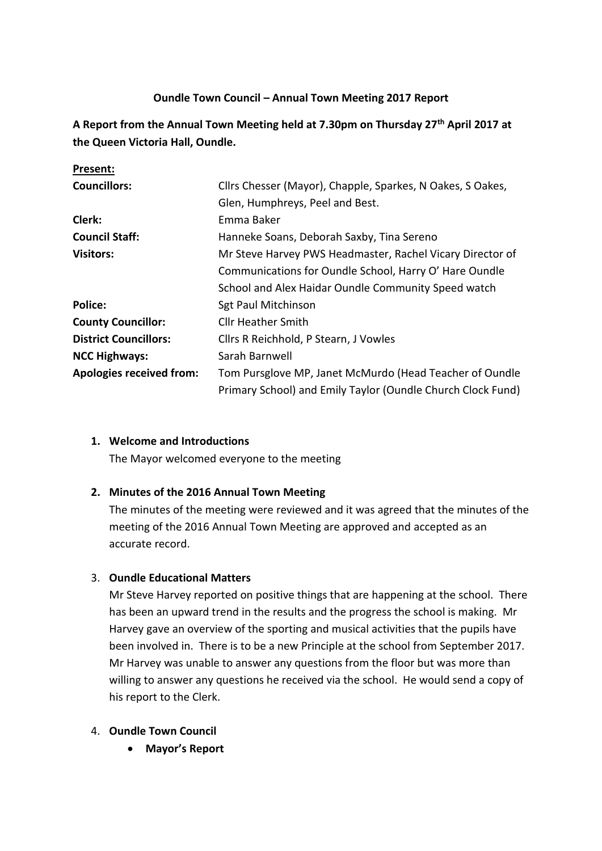# **Oundle Town Council – Annual Town Meeting 2017 Report**

**A Report from the Annual Town Meeting held at 7.30pm on Thursday 27th April 2017 at the Queen Victoria Hall, Oundle.**

| Present:                        |                                                             |
|---------------------------------|-------------------------------------------------------------|
| <b>Councillors:</b>             | Cllrs Chesser (Mayor), Chapple, Sparkes, N Oakes, S Oakes,  |
|                                 | Glen, Humphreys, Peel and Best.                             |
| Clerk:                          | Emma Baker                                                  |
| <b>Council Staff:</b>           | Hanneke Soans, Deborah Saxby, Tina Sereno                   |
| <b>Visitors:</b>                | Mr Steve Harvey PWS Headmaster, Rachel Vicary Director of   |
|                                 | Communications for Oundle School, Harry O' Hare Oundle      |
|                                 | School and Alex Haidar Oundle Community Speed watch         |
| <b>Police:</b>                  | <b>Sgt Paul Mitchinson</b>                                  |
| <b>County Councillor:</b>       | <b>Cllr Heather Smith</b>                                   |
| <b>District Councillors:</b>    | Cllrs R Reichhold, P Stearn, J Vowles                       |
| <b>NCC Highways:</b>            | Sarah Barnwell                                              |
| <b>Apologies received from:</b> | Tom Pursglove MP, Janet McMurdo (Head Teacher of Oundle     |
|                                 | Primary School) and Emily Taylor (Oundle Church Clock Fund) |

# **1. Welcome and Introductions**

**Present:**

The Mayor welcomed everyone to the meeting

# **2. Minutes of the 2016 Annual Town Meeting**

The minutes of the meeting were reviewed and it was agreed that the minutes of the meeting of the 2016 Annual Town Meeting are approved and accepted as an accurate record.

# 3. **Oundle Educational Matters**

Mr Steve Harvey reported on positive things that are happening at the school. There has been an upward trend in the results and the progress the school is making. Mr Harvey gave an overview of the sporting and musical activities that the pupils have been involved in. There is to be a new Principle at the school from September 2017. Mr Harvey was unable to answer any questions from the floor but was more than willing to answer any questions he received via the school. He would send a copy of his report to the Clerk.

### 4. **Oundle Town Council**

• **Mayor's Report**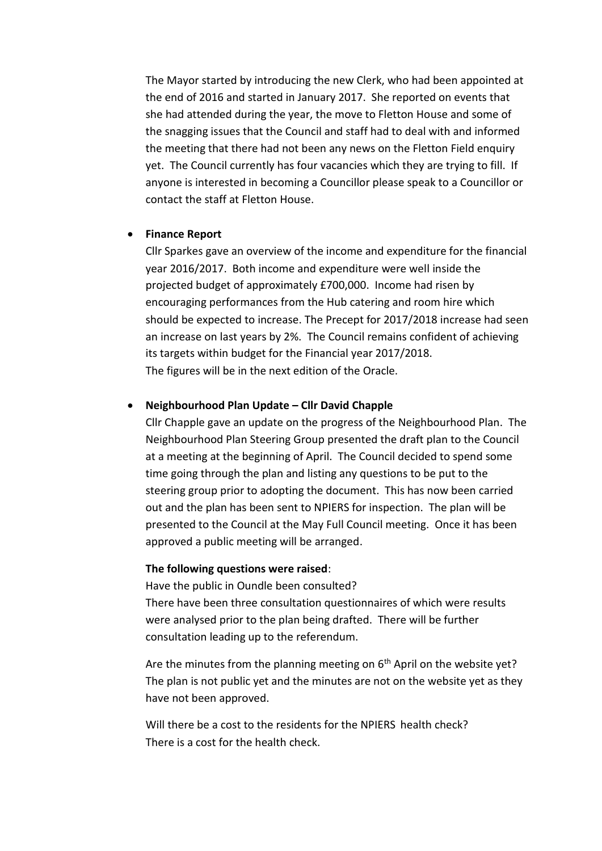The Mayor started by introducing the new Clerk, who had been appointed at the end of 2016 and started in January 2017. She reported on events that she had attended during the year, the move to Fletton House and some of the snagging issues that the Council and staff had to deal with and informed the meeting that there had not been any news on the Fletton Field enquiry yet. The Council currently has four vacancies which they are trying to fill. If anyone is interested in becoming a Councillor please speak to a Councillor or contact the staff at Fletton House.

#### • **Finance Report**

Cllr Sparkes gave an overview of the income and expenditure for the financial year 2016/2017. Both income and expenditure were well inside the projected budget of approximately £700,000. Income had risen by encouraging performances from the Hub catering and room hire which should be expected to increase. The Precept for 2017/2018 increase had seen an increase on last years by 2%. The Council remains confident of achieving its targets within budget for the Financial year 2017/2018. The figures will be in the next edition of the Oracle.

#### • **Neighbourhood Plan Update – Cllr David Chapple**

Cllr Chapple gave an update on the progress of the Neighbourhood Plan. The Neighbourhood Plan Steering Group presented the draft plan to the Council at a meeting at the beginning of April. The Council decided to spend some time going through the plan and listing any questions to be put to the steering group prior to adopting the document. This has now been carried out and the plan has been sent to NPIERS for inspection. The plan will be presented to the Council at the May Full Council meeting. Once it has been approved a public meeting will be arranged.

#### **The following questions were raised**:

Have the public in Oundle been consulted? There have been three consultation questionnaires of which were results were analysed prior to the plan being drafted. There will be further consultation leading up to the referendum.

Are the minutes from the planning meeting on  $6<sup>th</sup>$  April on the website yet? The plan is not public yet and the minutes are not on the website yet as they have not been approved.

Will there be a cost to the residents for the NPIERS health check? There is a cost for the health check.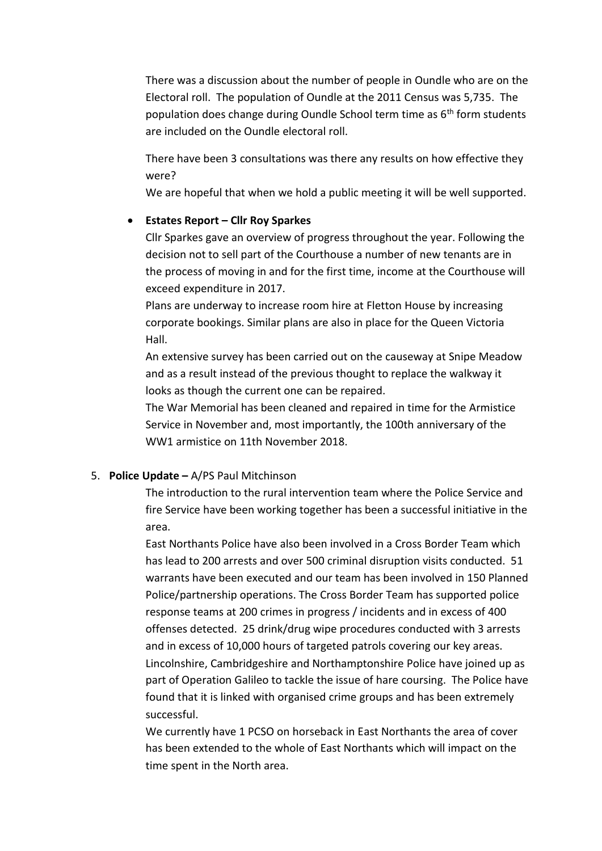There was a discussion about the number of people in Oundle who are on the Electoral roll. The population of Oundle at the 2011 Census was 5,735. The population does change during Oundle School term time as 6th form students are included on the Oundle electoral roll.

There have been 3 consultations was there any results on how effective they were?

We are hopeful that when we hold a public meeting it will be well supported.

## • **Estates Report – Cllr Roy Sparkes**

Cllr Sparkes gave an overview of progress throughout the year. Following the decision not to sell part of the Courthouse a number of new tenants are in the process of moving in and for the first time, income at the Courthouse will exceed expenditure in 2017.

Plans are underway to increase room hire at Fletton House by increasing corporate bookings. Similar plans are also in place for the Queen Victoria Hall.

An extensive survey has been carried out on the causeway at Snipe Meadow and as a result instead of the previous thought to replace the walkway it looks as though the current one can be repaired.

The War Memorial has been cleaned and repaired in time for the Armistice Service in November and, most importantly, the 100th anniversary of the WW1 armistice on 11th November 2018.

# 5. **Police Update –** A/PS Paul Mitchinson

The introduction to the rural intervention team where the Police Service and fire Service have been working together has been a successful initiative in the area.

East Northants Police have also been involved in a Cross Border Team which has lead to 200 arrests and over 500 criminal disruption visits conducted. 51 warrants have been executed and our team has been involved in 150 Planned Police/partnership operations. The Cross Border Team has supported police response teams at 200 crimes in progress / incidents and in excess of 400 offenses detected. 25 drink/drug wipe procedures conducted with 3 arrests and in excess of 10,000 hours of targeted patrols covering our key areas. Lincolnshire, Cambridgeshire and Northamptonshire Police have joined up as part of Operation Galileo to tackle the issue of hare coursing. The Police have found that it is linked with organised crime groups and has been extremely successful.

We currently have 1 PCSO on horseback in East Northants the area of cover has been extended to the whole of East Northants which will impact on the time spent in the North area.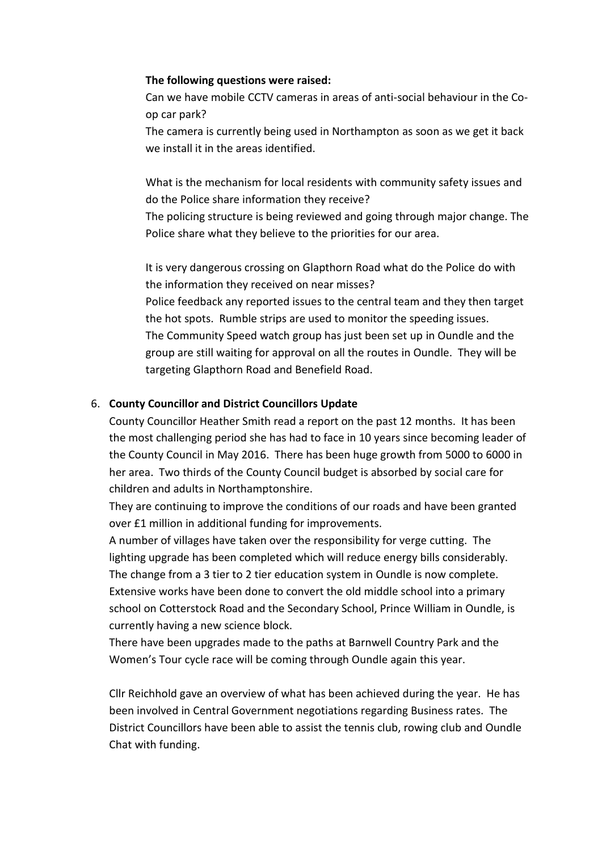### **The following questions were raised:**

Can we have mobile CCTV cameras in areas of anti-social behaviour in the Coop car park?

The camera is currently being used in Northampton as soon as we get it back we install it in the areas identified.

What is the mechanism for local residents with community safety issues and do the Police share information they receive?

The policing structure is being reviewed and going through major change. The Police share what they believe to the priorities for our area.

It is very dangerous crossing on Glapthorn Road what do the Police do with the information they received on near misses?

Police feedback any reported issues to the central team and they then target the hot spots. Rumble strips are used to monitor the speeding issues. The Community Speed watch group has just been set up in Oundle and the group are still waiting for approval on all the routes in Oundle. They will be targeting Glapthorn Road and Benefield Road.

## 6. **County Councillor and District Councillors Update**

County Councillor Heather Smith read a report on the past 12 months. It has been the most challenging period she has had to face in 10 years since becoming leader of the County Council in May 2016. There has been huge growth from 5000 to 6000 in her area. Two thirds of the County Council budget is absorbed by social care for children and adults in Northamptonshire.

They are continuing to improve the conditions of our roads and have been granted over £1 million in additional funding for improvements.

A number of villages have taken over the responsibility for verge cutting. The lighting upgrade has been completed which will reduce energy bills considerably. The change from a 3 tier to 2 tier education system in Oundle is now complete. Extensive works have been done to convert the old middle school into a primary school on Cotterstock Road and the Secondary School, Prince William in Oundle, is currently having a new science block.

There have been upgrades made to the paths at Barnwell Country Park and the Women's Tour cycle race will be coming through Oundle again this year.

Cllr Reichhold gave an overview of what has been achieved during the year. He has been involved in Central Government negotiations regarding Business rates. The District Councillors have been able to assist the tennis club, rowing club and Oundle Chat with funding.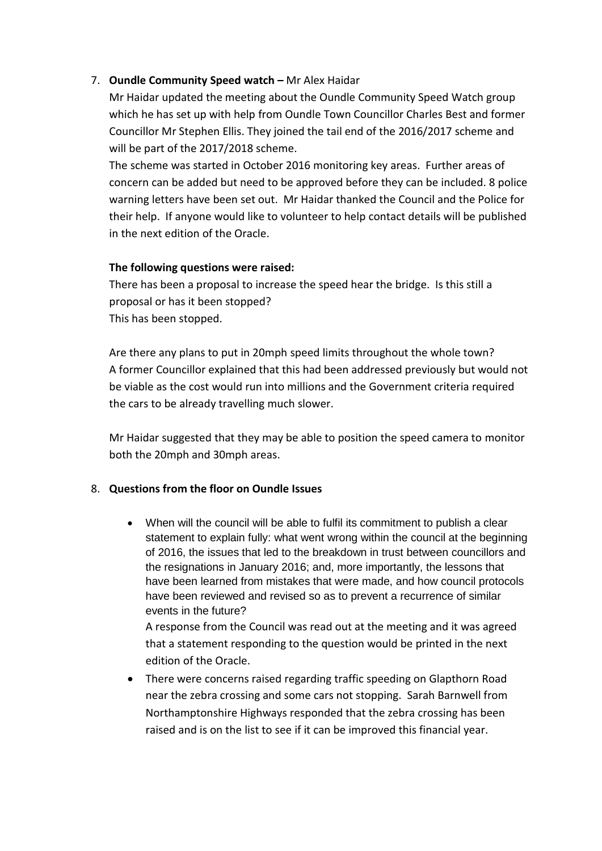# 7. **Oundle Community Speed watch –** Mr Alex Haidar

Mr Haidar updated the meeting about the Oundle Community Speed Watch group which he has set up with help from Oundle Town Councillor Charles Best and former Councillor Mr Stephen Ellis. They joined the tail end of the 2016/2017 scheme and will be part of the 2017/2018 scheme.

The scheme was started in October 2016 monitoring key areas. Further areas of concern can be added but need to be approved before they can be included. 8 police warning letters have been set out. Mr Haidar thanked the Council and the Police for their help. If anyone would like to volunteer to help contact details will be published in the next edition of the Oracle.

### **The following questions were raised:**

There has been a proposal to increase the speed hear the bridge. Is this still a proposal or has it been stopped? This has been stopped.

Are there any plans to put in 20mph speed limits throughout the whole town? A former Councillor explained that this had been addressed previously but would not be viable as the cost would run into millions and the Government criteria required the cars to be already travelling much slower.

Mr Haidar suggested that they may be able to position the speed camera to monitor both the 20mph and 30mph areas.

# 8. **Questions from the floor on Oundle Issues**

• When will the council will be able to fulfil its commitment to publish a clear statement to explain fully: what went wrong within the council at the beginning of 2016, the issues that led to the breakdown in trust between councillors and the resignations in January 2016; and, more importantly, the lessons that have been learned from mistakes that were made, and how council protocols have been reviewed and revised so as to prevent a recurrence of similar events in the future?

A response from the Council was read out at the meeting and it was agreed that a statement responding to the question would be printed in the next edition of the Oracle.

• There were concerns raised regarding traffic speeding on Glapthorn Road near the zebra crossing and some cars not stopping. Sarah Barnwell from Northamptonshire Highways responded that the zebra crossing has been raised and is on the list to see if it can be improved this financial year.